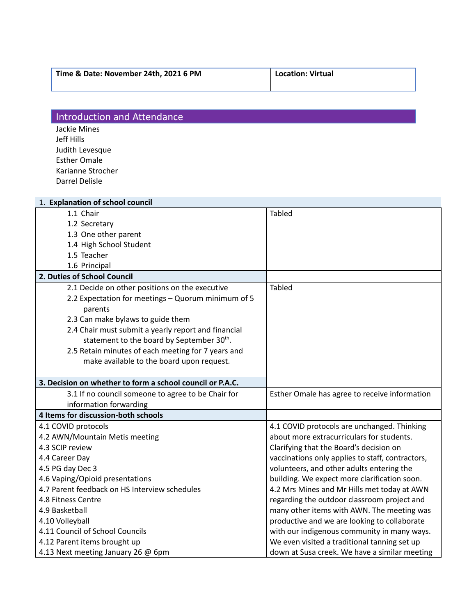| Time & Date: November 24th, 2021 6 PM | Location: Virtual |
|---------------------------------------|-------------------|
|                                       |                   |

## **Introduction and Attendance**

Jackie Mines Jeff Hills Judith Levesque Esther Omale Karianne Strocher Darrel Delisle

| 1. Explanation of school council                          |                                                  |  |
|-----------------------------------------------------------|--------------------------------------------------|--|
| 1.1 Chair                                                 | Tabled                                           |  |
| 1.2 Secretary                                             |                                                  |  |
| 1.3 One other parent                                      |                                                  |  |
| 1.4 High School Student                                   |                                                  |  |
| 1.5 Teacher                                               |                                                  |  |
| 1.6 Principal                                             |                                                  |  |
| 2. Duties of School Council                               |                                                  |  |
| 2.1 Decide on other positions on the executive            | Tabled                                           |  |
| 2.2 Expectation for meetings - Quorum minimum of 5        |                                                  |  |
| parents                                                   |                                                  |  |
| 2.3 Can make bylaws to guide them                         |                                                  |  |
| 2.4 Chair must submit a yearly report and financial       |                                                  |  |
| statement to the board by September 30 <sup>th</sup> .    |                                                  |  |
| 2.5 Retain minutes of each meeting for 7 years and        |                                                  |  |
| make available to the board upon request.                 |                                                  |  |
|                                                           |                                                  |  |
| 3. Decision on whether to form a school council or P.A.C. |                                                  |  |
| 3.1 If no council someone to agree to be Chair for        | Esther Omale has agree to receive information    |  |
| information forwarding                                    |                                                  |  |
| 4 Items for discussion-both schools                       |                                                  |  |
| 4.1 COVID protocols                                       | 4.1 COVID protocols are unchanged. Thinking      |  |
| 4.2 AWN/Mountain Metis meeting                            | about more extracurriculars for students.        |  |
| 4.3 SCIP review                                           | Clarifying that the Board's decision on          |  |
| 4.4 Career Day                                            | vaccinations only applies to staff, contractors, |  |
| 4.5 PG day Dec 3                                          | volunteers, and other adults entering the        |  |
| 4.6 Vaping/Opioid presentations                           | building. We expect more clarification soon.     |  |
| 4.7 Parent feedback on HS Interview schedules             | 4.2 Mrs Mines and Mr Hills met today at AWN      |  |
| 4.8 Fitness Centre                                        | regarding the outdoor classroom project and      |  |
| 4.9 Basketball                                            | many other items with AWN. The meeting was       |  |
| 4.10 Volleyball                                           | productive and we are looking to collaborate     |  |
| 4.11 Council of School Councils                           | with our indigenous community in many ways.      |  |
| 4.12 Parent items brought up                              | We even visited a traditional tanning set up     |  |
| 4.13 Next meeting January 26 @ 6pm                        | down at Susa creek. We have a similar meeting    |  |